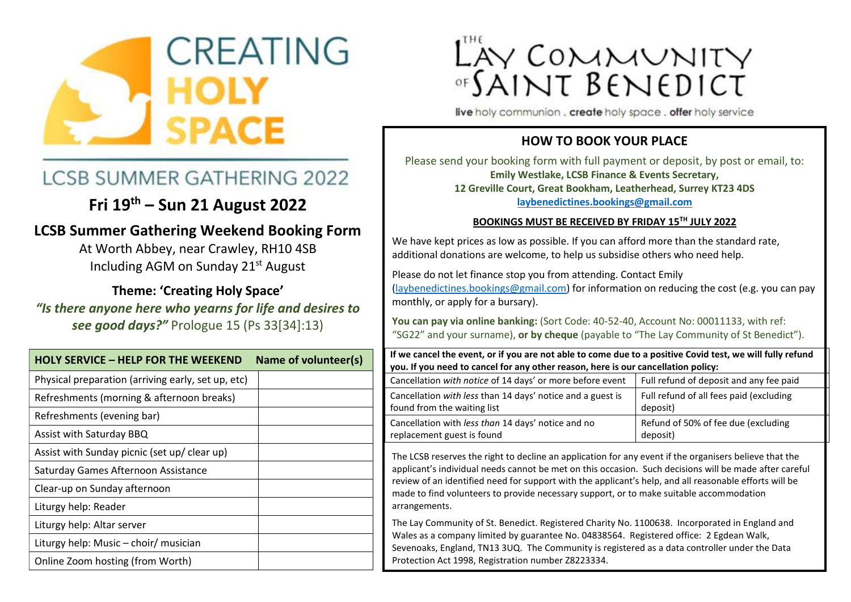

# **LCSB SUMMER GATHERING 2022**

# **Fri 19th – Sun 21 August 2022**

### **LCSB Summer Gathering Weekend Booking Form**

At Worth Abbey, near Crawley, RH10 4SB Including AGM on Sunday 21st August

**Theme: 'Creating Holy Space'** *"Is there anyone here who yearns for life and desires to see good days?"* Prologue 15 (Ps 33[34]:13)

| <b>HOLY SERVICE - HELP FOR THE WEEKEND</b>         | Name of volunteer(s) |
|----------------------------------------------------|----------------------|
| Physical preparation (arriving early, set up, etc) |                      |
| Refreshments (morning & afternoon breaks)          |                      |
| Refreshments (evening bar)                         |                      |
| Assist with Saturday BBQ                           |                      |
| Assist with Sunday picnic (set up/ clear up)       |                      |
| Saturday Games Afternoon Assistance                |                      |
| Clear-up on Sunday afternoon                       |                      |
| Liturgy help: Reader                               |                      |
| Liturgy help: Altar server                         |                      |
| Liturgy help: Music - choir/ musician              |                      |
| Online Zoom hosting (from Worth)                   |                      |

# LAY COMMUNITY<br>"SAINT BENEDICT

live holy communion . create holy space . offer holy service

#### **HOW TO BOOK YOUR PLACE**

Please send your booking form with full payment or deposit, by post or email, to: **Emily Westlake, LCSB Finance & Events Secretary, 12 Greville Court, Great Bookham, Leatherhead, Surrey KT23 4DS [laybenedictines.bookings@gmail.com](mailto:laybenedictines.bookings@gmail.com)**

#### **BOOKINGS MUST BE RECEIVED BY FRIDAY 15TH JULY 2022**

We have kept prices as low as possible. If you can afford more than the standard rate, additional donations are welcome, to help us subsidise others who need help.

Please do not let finance stop you from attending. Contact Emily [\(laybenedictines.bookings@gmail.com\)](mailto:laybenedictines.bookings@gmail.com) for information on reducing the cost (e.g. you can pay monthly, or apply for a bursary).

**You can pay via online banking:** (Sort Code: 40-52-40, Account No: 00011133, with ref: "SG22" and your surname), **or by cheque** (payable to "The Lay Community of St Benedict").

| If we cancel the event, or if you are not able to come due to a positive Covid test, we will fully refund |  |  |  |  |  |  |  |  |  |  |
|-----------------------------------------------------------------------------------------------------------|--|--|--|--|--|--|--|--|--|--|
| you. If you need to cancel for any other reason, here is our cancellation policy:                         |  |  |  |  |  |  |  |  |  |  |
|                                                                                                           |  |  |  |  |  |  |  |  |  |  |

| Cancellation with notice of 14 days' or more before event  | Full refund of deposit and any fee paid |
|------------------------------------------------------------|-----------------------------------------|
| Cancellation with less than 14 days' notice and a guest is | Full refund of all fees paid (excluding |
| found from the waiting list                                | deposit)                                |
| Cancellation with less than 14 days' notice and no         | Refund of 50% of fee due (excluding     |
| replacement guest is found                                 | deposit)                                |

The LCSB reserves the right to decline an application for any event if the organisers believe that the applicant's individual needs cannot be met on this occasion. Such decisions will be made after careful review of an identified need for support with the applicant's help, and all reasonable efforts will be made to find volunteers to provide necessary support, or to make suitable accommodation arrangements.

The Lay Community of St. Benedict. Registered Charity No. 1100638. Incorporated in England and Wales as a company limited by guarantee No. 04838564. Registered office: 2 Egdean Walk, Sevenoaks, England, TN13 3UQ. The Community is registered as a data controller under the Data Protection Act 1998, Registration number Z8223334.